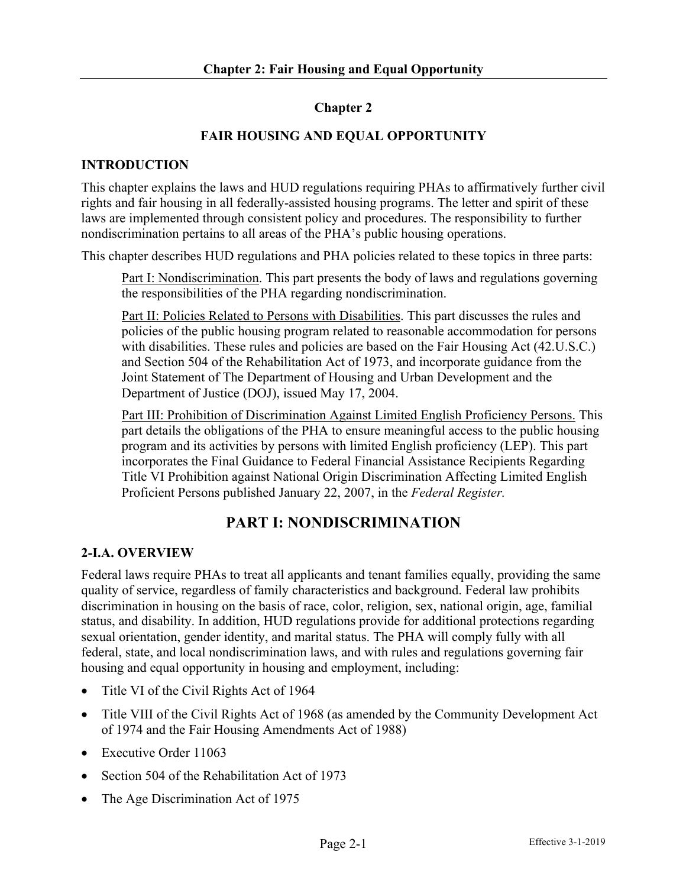### **Chapter 2**

### **FAIR HOUSING AND EQUAL OPPORTUNITY**

#### **INTRODUCTION**

This chapter explains the laws and HUD regulations requiring PHAs to affirmatively further civil rights and fair housing in all federally-assisted housing programs. The letter and spirit of these laws are implemented through consistent policy and procedures. The responsibility to further nondiscrimination pertains to all areas of the PHA's public housing operations.

This chapter describes HUD regulations and PHA policies related to these topics in three parts:

Part I: Nondiscrimination. This part presents the body of laws and regulations governing the responsibilities of the PHA regarding nondiscrimination.

Part II: Policies Related to Persons with Disabilities. This part discusses the rules and policies of the public housing program related to reasonable accommodation for persons with disabilities. These rules and policies are based on the Fair Housing Act (42.U.S.C.) and Section 504 of the Rehabilitation Act of 1973, and incorporate guidance from the Joint Statement of The Department of Housing and Urban Development and the Department of Justice (DOJ), issued May 17, 2004.

Part III: Prohibition of Discrimination Against Limited English Proficiency Persons. This part details the obligations of the PHA to ensure meaningful access to the public housing program and its activities by persons with limited English proficiency (LEP). This part incorporates the Final Guidance to Federal Financial Assistance Recipients Regarding Title VI Prohibition against National Origin Discrimination Affecting Limited English Proficient Persons published January 22, 2007, in the *Federal Register.*

## **PART I: NONDISCRIMINATION**

#### **2-I.A. OVERVIEW**

Federal laws require PHAs to treat all applicants and tenant families equally, providing the same quality of service, regardless of family characteristics and background. Federal law prohibits discrimination in housing on the basis of race, color, religion, sex, national origin, age, familial status, and disability. In addition, HUD regulations provide for additional protections regarding sexual orientation, gender identity, and marital status. The PHA will comply fully with all federal, state, and local nondiscrimination laws, and with rules and regulations governing fair housing and equal opportunity in housing and employment, including:

- Title VI of the Civil Rights Act of 1964
- Title VIII of the Civil Rights Act of 1968 (as amended by the Community Development Act of 1974 and the Fair Housing Amendments Act of 1988)
- Executive Order 11063
- Section 504 of the Rehabilitation Act of 1973
- The Age Discrimination Act of 1975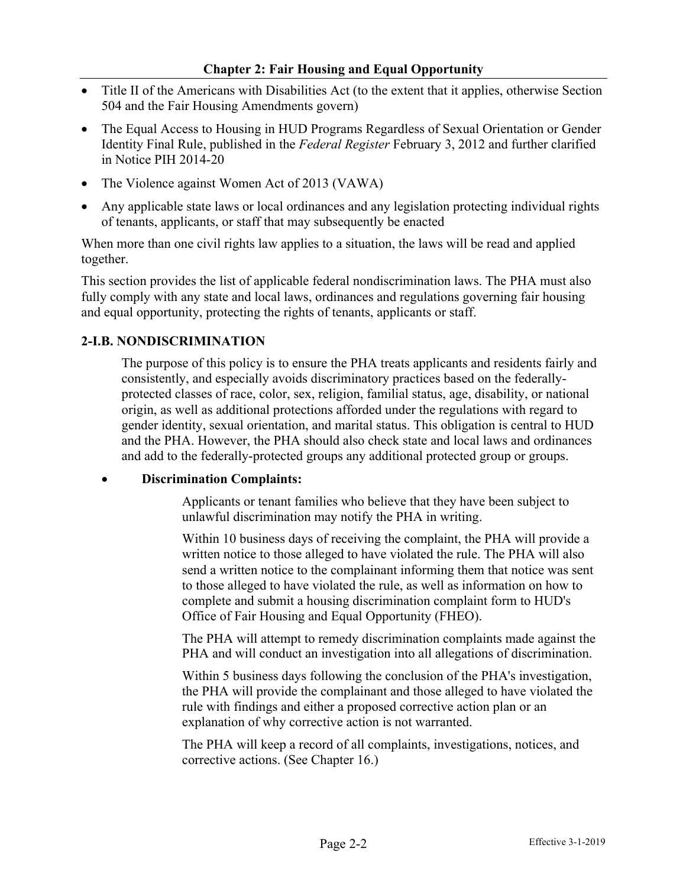- Title II of the Americans with Disabilities Act (to the extent that it applies, otherwise Section 504 and the Fair Housing Amendments govern)
- The Equal Access to Housing in HUD Programs Regardless of Sexual Orientation or Gender Identity Final Rule, published in the *Federal Register* February 3, 2012 and further clarified in Notice PIH 2014-20
- The Violence against Women Act of 2013 (VAWA)
- Any applicable state laws or local ordinances and any legislation protecting individual rights of tenants, applicants, or staff that may subsequently be enacted

When more than one civil rights law applies to a situation, the laws will be read and applied together.

This section provides the list of applicable federal nondiscrimination laws. The PHA must also fully comply with any state and local laws, ordinances and regulations governing fair housing and equal opportunity, protecting the rights of tenants, applicants or staff.

### **2-I.B. NONDISCRIMINATION**

The purpose of this policy is to ensure the PHA treats applicants and residents fairly and consistently, and especially avoids discriminatory practices based on the federallyprotected classes of race, color, sex, religion, familial status, age, disability, or national origin, as well as additional protections afforded under the regulations with regard to gender identity, sexual orientation, and marital status. This obligation is central to HUD and the PHA. However, the PHA should also check state and local laws and ordinances and add to the federally-protected groups any additional protected group or groups.

#### • **Discrimination Complaints:**

Applicants or tenant families who believe that they have been subject to unlawful discrimination may notify the PHA in writing.

Within 10 business days of receiving the complaint, the PHA will provide a written notice to those alleged to have violated the rule. The PHA will also send a written notice to the complainant informing them that notice was sent to those alleged to have violated the rule, as well as information on how to complete and submit a housing discrimination complaint form to HUD's Office of Fair Housing and Equal Opportunity (FHEO).

The PHA will attempt to remedy discrimination complaints made against the PHA and will conduct an investigation into all allegations of discrimination.

Within 5 business days following the conclusion of the PHA's investigation, the PHA will provide the complainant and those alleged to have violated the rule with findings and either a proposed corrective action plan or an explanation of why corrective action is not warranted.

The PHA will keep a record of all complaints, investigations, notices, and corrective actions. (See Chapter 16.)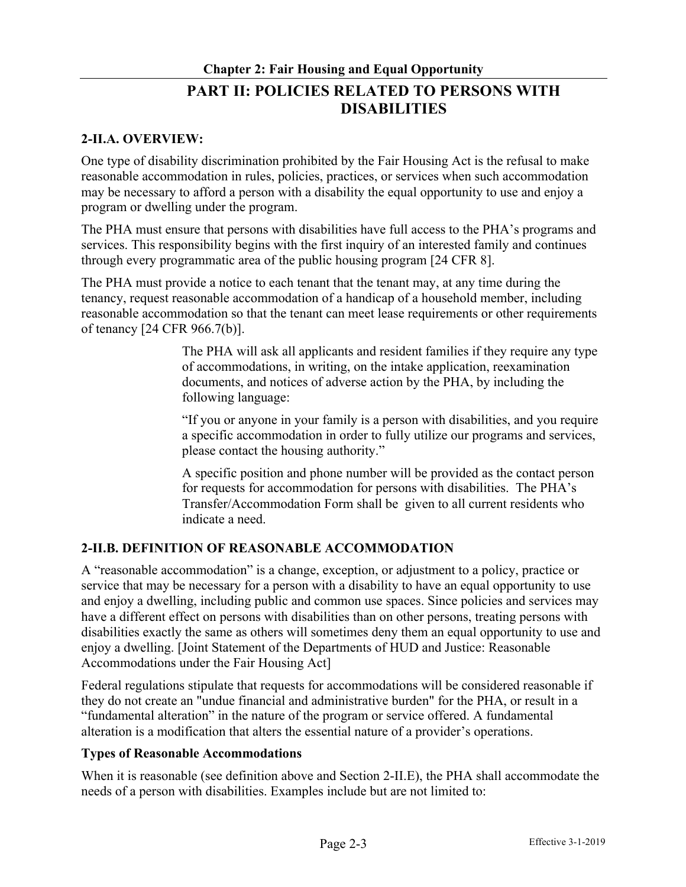# **Chapter 2: Fair Housing and Equal Opportunity PART II: POLICIES RELATED TO PERSONS WITH DISABILITIES**

#### **2-II.A. OVERVIEW:**

One type of disability discrimination prohibited by the Fair Housing Act is the refusal to make reasonable accommodation in rules, policies, practices, or services when such accommodation may be necessary to afford a person with a disability the equal opportunity to use and enjoy a program or dwelling under the program.

The PHA must ensure that persons with disabilities have full access to the PHA's programs and services. This responsibility begins with the first inquiry of an interested family and continues through every programmatic area of the public housing program [24 CFR 8].

The PHA must provide a notice to each tenant that the tenant may, at any time during the tenancy, request reasonable accommodation of a handicap of a household member, including reasonable accommodation so that the tenant can meet lease requirements or other requirements of tenancy [24 CFR 966.7(b)].

> The PHA will ask all applicants and resident families if they require any type of accommodations, in writing, on the intake application, reexamination documents, and notices of adverse action by the PHA, by including the following language:

> "If you or anyone in your family is a person with disabilities, and you require a specific accommodation in order to fully utilize our programs and services, please contact the housing authority."

A specific position and phone number will be provided as the contact person for requests for accommodation for persons with disabilities. The PHA's Transfer/Accommodation Form shall be given to all current residents who indicate a need.

#### **2-II.B. DEFINITION OF REASONABLE ACCOMMODATION**

A "reasonable accommodation" is a change, exception, or adjustment to a policy, practice or service that may be necessary for a person with a disability to have an equal opportunity to use and enjoy a dwelling, including public and common use spaces. Since policies and services may have a different effect on persons with disabilities than on other persons, treating persons with disabilities exactly the same as others will sometimes deny them an equal opportunity to use and enjoy a dwelling. [Joint Statement of the Departments of HUD and Justice: Reasonable Accommodations under the Fair Housing Act]

Federal regulations stipulate that requests for accommodations will be considered reasonable if they do not create an "undue financial and administrative burden" for the PHA, or result in a "fundamental alteration" in the nature of the program or service offered. A fundamental alteration is a modification that alters the essential nature of a provider's operations.

#### **Types of Reasonable Accommodations**

When it is reasonable (see definition above and Section 2-II.E), the PHA shall accommodate the needs of a person with disabilities. Examples include but are not limited to: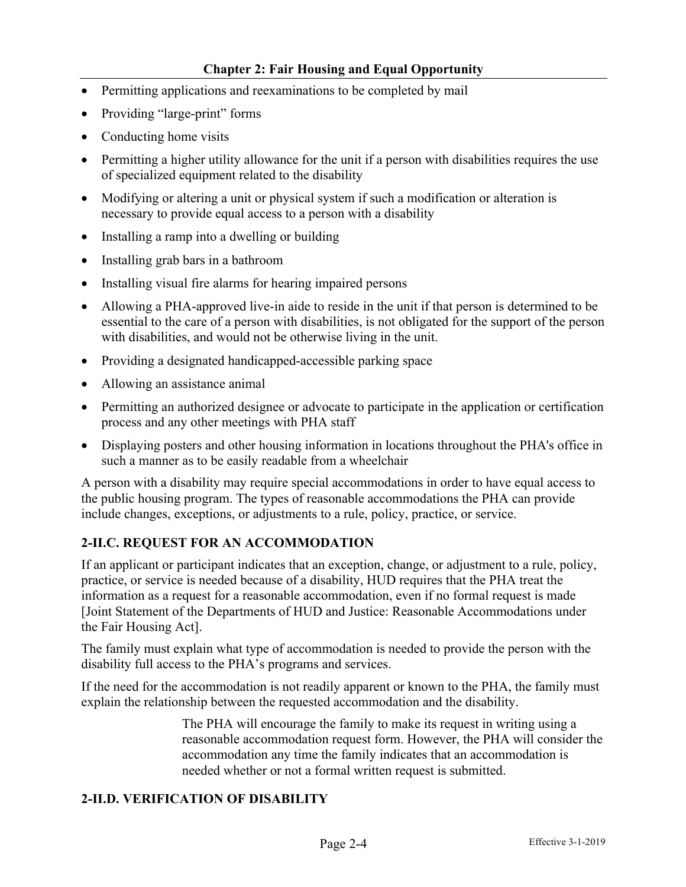- Permitting applications and reexaminations to be completed by mail
- Providing "large-print" forms
- Conducting home visits
- Permitting a higher utility allowance for the unit if a person with disabilities requires the use of specialized equipment related to the disability
- Modifying or altering a unit or physical system if such a modification or alteration is necessary to provide equal access to a person with a disability
- Installing a ramp into a dwelling or building
- Installing grab bars in a bathroom
- Installing visual fire alarms for hearing impaired persons
- Allowing a PHA-approved live-in aide to reside in the unit if that person is determined to be essential to the care of a person with disabilities, is not obligated for the support of the person with disabilities, and would not be otherwise living in the unit.
- Providing a designated handicapped-accessible parking space
- Allowing an assistance animal
- Permitting an authorized designee or advocate to participate in the application or certification process and any other meetings with PHA staff
- Displaying posters and other housing information in locations throughout the PHA's office in such a manner as to be easily readable from a wheelchair

A person with a disability may require special accommodations in order to have equal access to the public housing program. The types of reasonable accommodations the PHA can provide include changes, exceptions, or adjustments to a rule, policy, practice, or service.

## **2-II.C. REQUEST FOR AN ACCOMMODATION**

If an applicant or participant indicates that an exception, change, or adjustment to a rule, policy, practice, or service is needed because of a disability, HUD requires that the PHA treat the information as a request for a reasonable accommodation, even if no formal request is made [Joint Statement of the Departments of HUD and Justice: Reasonable Accommodations under the Fair Housing Act].

The family must explain what type of accommodation is needed to provide the person with the disability full access to the PHA's programs and services.

If the need for the accommodation is not readily apparent or known to the PHA, the family must explain the relationship between the requested accommodation and the disability.

> The PHA will encourage the family to make its request in writing using a reasonable accommodation request form. However, the PHA will consider the accommodation any time the family indicates that an accommodation is needed whether or not a formal written request is submitted.

#### **2-II.D. VERIFICATION OF DISABILITY**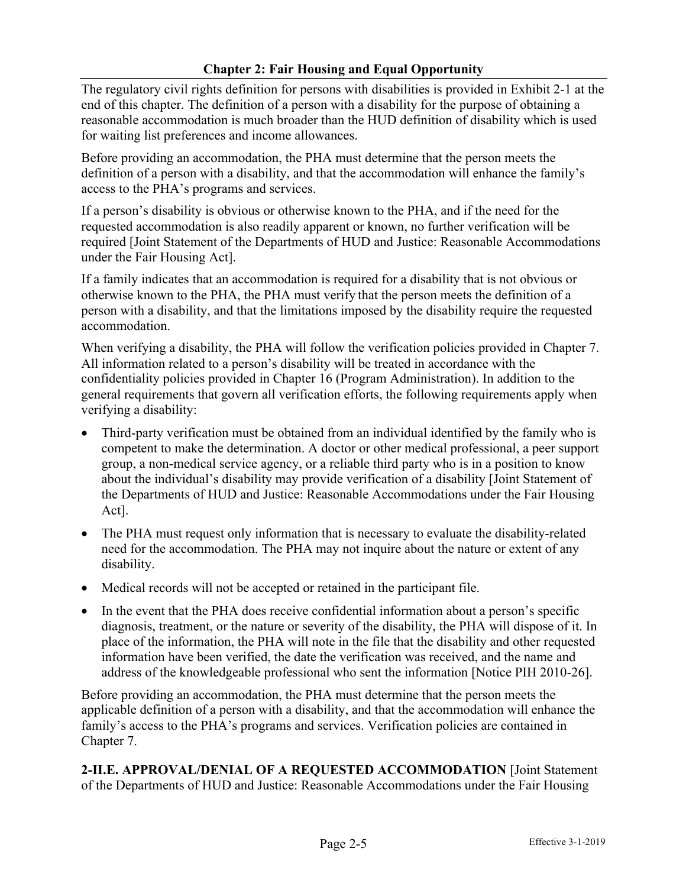### **Chapter 2: Fair Housing and Equal Opportunity**

The regulatory civil rights definition for persons with disabilities is provided in Exhibit 2-1 at the end of this chapter. The definition of a person with a disability for the purpose of obtaining a reasonable accommodation is much broader than the HUD definition of disability which is used for waiting list preferences and income allowances.

Before providing an accommodation, the PHA must determine that the person meets the definition of a person with a disability, and that the accommodation will enhance the family's access to the PHA's programs and services.

If a person's disability is obvious or otherwise known to the PHA, and if the need for the requested accommodation is also readily apparent or known, no further verification will be required [Joint Statement of the Departments of HUD and Justice: Reasonable Accommodations under the Fair Housing Act].

If a family indicates that an accommodation is required for a disability that is not obvious or otherwise known to the PHA, the PHA must verify that the person meets the definition of a person with a disability, and that the limitations imposed by the disability require the requested accommodation.

When verifying a disability, the PHA will follow the verification policies provided in Chapter 7. All information related to a person's disability will be treated in accordance with the confidentiality policies provided in Chapter 16 (Program Administration). In addition to the general requirements that govern all verification efforts, the following requirements apply when verifying a disability:

- Third-party verification must be obtained from an individual identified by the family who is competent to make the determination. A doctor or other medical professional, a peer support group, a non-medical service agency, or a reliable third party who is in a position to know about the individual's disability may provide verification of a disability [Joint Statement of the Departments of HUD and Justice: Reasonable Accommodations under the Fair Housing Act].
- The PHA must request only information that is necessary to evaluate the disability-related need for the accommodation. The PHA may not inquire about the nature or extent of any disability.
- Medical records will not be accepted or retained in the participant file.
- In the event that the PHA does receive confidential information about a person's specific diagnosis, treatment, or the nature or severity of the disability, the PHA will dispose of it. In place of the information, the PHA will note in the file that the disability and other requested information have been verified, the date the verification was received, and the name and address of the knowledgeable professional who sent the information [Notice PIH 2010-26].

Before providing an accommodation, the PHA must determine that the person meets the applicable definition of a person with a disability, and that the accommodation will enhance the family's access to the PHA's programs and services. Verification policies are contained in Chapter 7.

**2-II.E. APPROVAL/DENIAL OF A REQUESTED ACCOMMODATION** [Joint Statement of the Departments of HUD and Justice: Reasonable Accommodations under the Fair Housing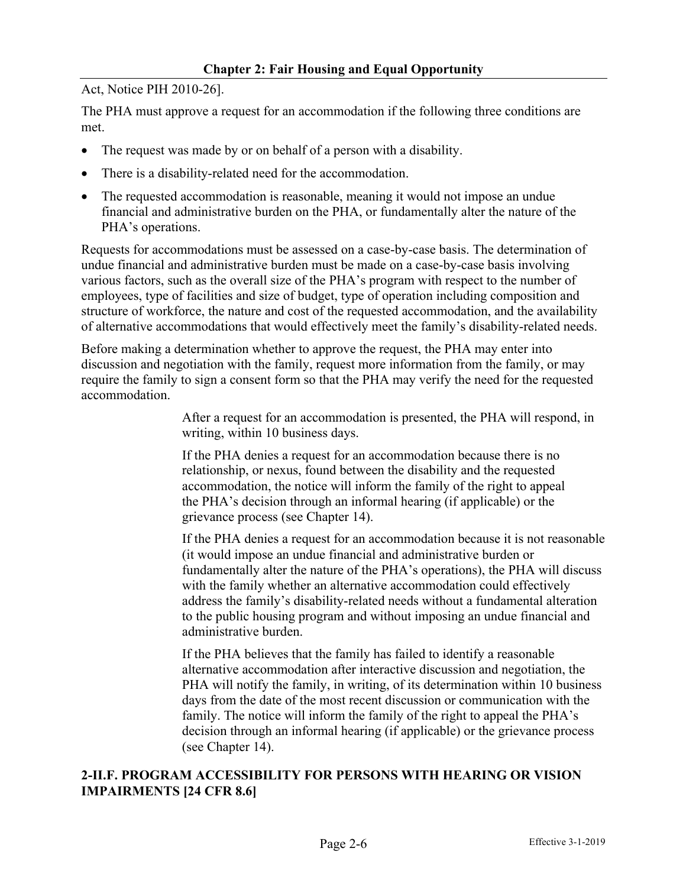#### **Chapter 2: Fair Housing and Equal Opportunity**

Act, Notice PIH 2010-26].

The PHA must approve a request for an accommodation if the following three conditions are met.

- The request was made by or on behalf of a person with a disability.
- There is a disability-related need for the accommodation.
- The requested accommodation is reasonable, meaning it would not impose an undue financial and administrative burden on the PHA, or fundamentally alter the nature of the PHA's operations.

Requests for accommodations must be assessed on a case-by-case basis. The determination of undue financial and administrative burden must be made on a case-by-case basis involving various factors, such as the overall size of the PHA's program with respect to the number of employees, type of facilities and size of budget, type of operation including composition and structure of workforce, the nature and cost of the requested accommodation, and the availability of alternative accommodations that would effectively meet the family's disability-related needs.

Before making a determination whether to approve the request, the PHA may enter into discussion and negotiation with the family, request more information from the family, or may require the family to sign a consent form so that the PHA may verify the need for the requested accommodation.

> After a request for an accommodation is presented, the PHA will respond, in writing, within 10 business days.

If the PHA denies a request for an accommodation because there is no relationship, or nexus, found between the disability and the requested accommodation, the notice will inform the family of the right to appeal the PHA's decision through an informal hearing (if applicable) or the grievance process (see Chapter 14).

If the PHA denies a request for an accommodation because it is not reasonable (it would impose an undue financial and administrative burden or fundamentally alter the nature of the PHA's operations), the PHA will discuss with the family whether an alternative accommodation could effectively address the family's disability-related needs without a fundamental alteration to the public housing program and without imposing an undue financial and administrative burden.

If the PHA believes that the family has failed to identify a reasonable alternative accommodation after interactive discussion and negotiation, the PHA will notify the family, in writing, of its determination within 10 business days from the date of the most recent discussion or communication with the family. The notice will inform the family of the right to appeal the PHA's decision through an informal hearing (if applicable) or the grievance process (see Chapter 14).

#### **2-II.F. PROGRAM ACCESSIBILITY FOR PERSONS WITH HEARING OR VISION IMPAIRMENTS [24 CFR 8.6]**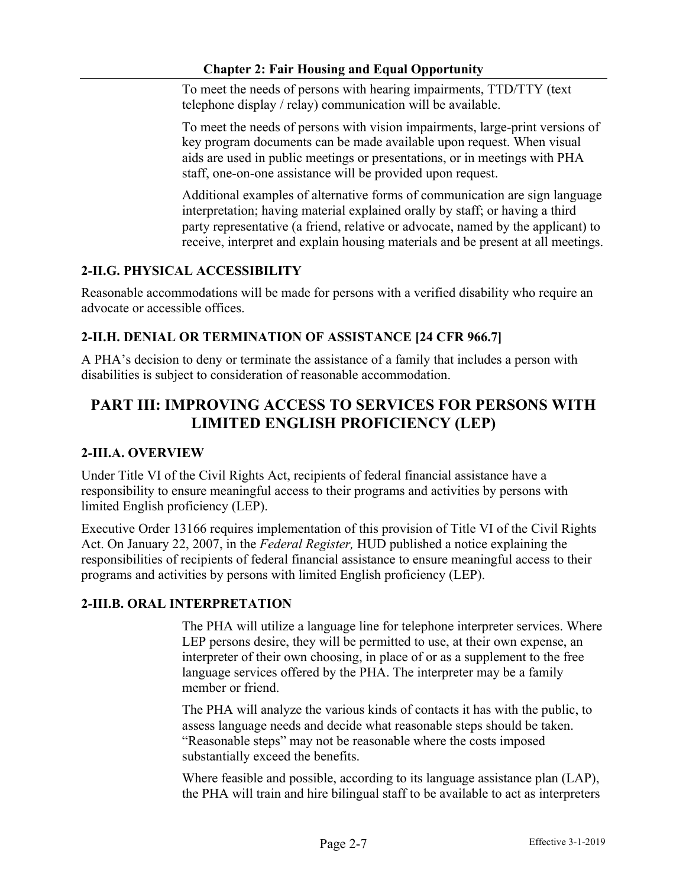To meet the needs of persons with hearing impairments, TTD/TTY (text telephone display / relay) communication will be available.

To meet the needs of persons with vision impairments, large-print versions of key program documents can be made available upon request. When visual aids are used in public meetings or presentations, or in meetings with PHA staff, one-on-one assistance will be provided upon request.

Additional examples of alternative forms of communication are sign language interpretation; having material explained orally by staff; or having a third party representative (a friend, relative or advocate, named by the applicant) to receive, interpret and explain housing materials and be present at all meetings.

## **2-II.G. PHYSICAL ACCESSIBILITY**

Reasonable accommodations will be made for persons with a verified disability who require an advocate or accessible offices.

## **2-II.H. DENIAL OR TERMINATION OF ASSISTANCE [24 CFR 966.7]**

A PHA's decision to deny or terminate the assistance of a family that includes a person with disabilities is subject to consideration of reasonable accommodation.

# **PART III: IMPROVING ACCESS TO SERVICES FOR PERSONS WITH LIMITED ENGLISH PROFICIENCY (LEP)**

## **2-III.A. OVERVIEW**

Under Title VI of the Civil Rights Act, recipients of federal financial assistance have a responsibility to ensure meaningful access to their programs and activities by persons with limited English proficiency (LEP).

Executive Order 13166 requires implementation of this provision of Title VI of the Civil Rights Act. On January 22, 2007, in the *Federal Register,* HUD published a notice explaining the responsibilities of recipients of federal financial assistance to ensure meaningful access to their programs and activities by persons with limited English proficiency (LEP).

## **2-III.B. ORAL INTERPRETATION**

The PHA will utilize a language line for telephone interpreter services. Where LEP persons desire, they will be permitted to use, at their own expense, an interpreter of their own choosing, in place of or as a supplement to the free language services offered by the PHA. The interpreter may be a family member or friend.

The PHA will analyze the various kinds of contacts it has with the public, to assess language needs and decide what reasonable steps should be taken. "Reasonable steps" may not be reasonable where the costs imposed substantially exceed the benefits.

Where feasible and possible, according to its language assistance plan (LAP), the PHA will train and hire bilingual staff to be available to act as interpreters